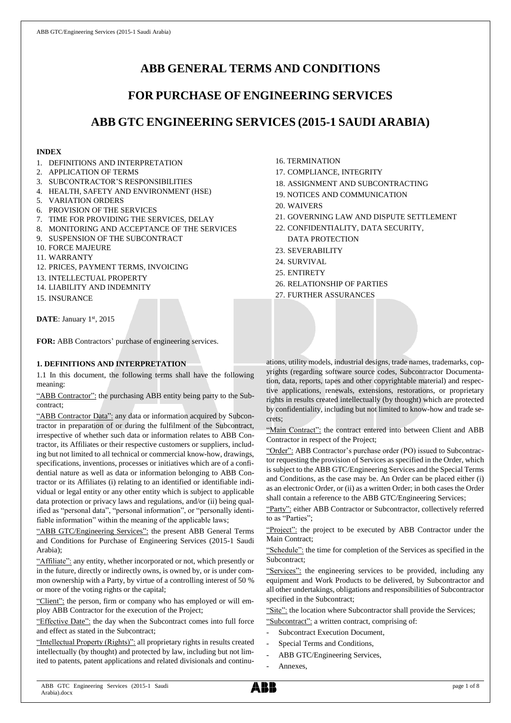# **ABB GENERAL TERMS AND CONDITIONS**

# **FOR PURCHASE OF ENGINEERING SERVICES**

# **ABB GTC ENGINEERING SERVICES (2015-1 SAUDI ARABIA)**

## **INDEX**

- 1. DEFINITIONS AND INTERPRETATION
- 2. APPLICATION OF TERMS
- 3. SUBCONTRACTOR'S RESPONSIBILITIES
- 4. HEALTH, SAFETY AND ENVIRONMENT (HSE)
- 5. VARIATION ORDERS
- 6. PROVISION OF THE SERVICES
- 7. TIME FOR PROVIDING THE SERVICES, DELAY
- 8. MONITORING AND ACCEPTANCE OF THE SERVICES
- 9. SUSPENSION OF THE SUBCONTRACT
- 10. FORCE MAJEURE
- 11. WARRANTY
- 12. PRICES, PAYMENT TERMS, INVOICING
- 13. INTELLECTUAL PROPERTY
- 14. LIABILITY AND INDEMNITY
- 15. INSURANCE

DATE: January 1st, 2015

**FOR:** ABB Contractors' purchase of engineering services.

## **1. DEFINITIONS AND INTERPRETATION**

1.1 In this document, the following terms shall have the following meaning:

"ABB Contractor": the purchasing ABB entity being party to the Subcontract;

"ABB Contractor Data": any data or information acquired by Subcontractor in preparation of or during the fulfilment of the Subcontract, irrespective of whether such data or information relates to ABB Contractor, its Affiliates or their respective customers or suppliers, including but not limited to all technical or commercial know-how, drawings, specifications, inventions, processes or initiatives which are of a confidential nature as well as data or information belonging to ABB Contractor or its Affiliates (i) relating to an identified or identifiable individual or legal entity or any other entity which is subject to applicable data protection or privacy laws and regulations, and/or (ii) being qualified as "personal data", "personal information", or "personally identifiable information" within the meaning of the applicable laws;

"ABB GTC/Engineering Services": the present ABB General Terms and Conditions for Purchase of Engineering Services (2015-1 Saudi Arabia);

"Affiliate": any entity, whether incorporated or not, which presently or in the future, directly or indirectly owns, is owned by, or is under common ownership with a Party, by virtue of a controlling interest of 50 % or more of the voting rights or the capital;

"Client": the person, firm or company who has employed or will employ ABB Contractor for the execution of the Project;

"Effective Date": the day when the Subcontract comes into full force and effect as stated in the Subcontract;

"Intellectual Property (Rights)": all proprietary rights in results created intellectually (by thought) and protected by law, including but not limited to patents, patent applications and related divisionals and continu-

- 16. TERMINATION
- 17. COMPLIANCE, INTEGRITY
- 18. ASSIGNMENT AND SUBCONTRACTING
- 19. NOTICES AND COMMUNICATION
- 20. WAIVERS
- 21. GOVERNING LAW AND DISPUTE SETTLEMENT
- 22. CONFIDENTIALITY, DATA SECURITY, DATA PROTECTION
- 23. SEVERABILITY
- 24. SURVIVAL
- 25. ENTIRETY
- 26. RELATIONSHIP OF PARTIES

27. FURTHER ASSURANCES

ations, utility models, industrial designs, trade names, trademarks, copyrights (regarding software source codes, Subcontractor Documentation, data, reports, tapes and other copyrightable material) and respective applications, renewals, extensions, restorations, or proprietary rights in results created intellectually (by thought) which are protected by confidentiality, including but not limited to know-how and trade secrets;

"Main Contract": the contract entered into between Client and ABB Contractor in respect of the Project;

"Order": ABB Contractor's purchase order (PO) issued to Subcontractor requesting the provision of Services as specified in the Order, which is subject to the ABB GTC/Engineering Services and the Special Terms and Conditions, as the case may be. An Order can be placed either (i) as an electronic Order, or (ii) as a written Order; in both cases the Order shall contain a reference to the ABB GTC/Engineering Services;

"Party": either ABB Contractor or Subcontractor, collectively referred to as "Parties";

"Project": the project to be executed by ABB Contractor under the Main Contract;

"Schedule": the time for completion of the Services as specified in the Subcontract;

"Services": the engineering services to be provided, including any equipment and Work Products to be delivered, by Subcontractor and all other undertakings, obligations and responsibilities of Subcontractor specified in the Subcontract;

"Site": the location where Subcontractor shall provide the Services;

"Subcontract": a written contract, comprising of:

- Subcontract Execution Document,
- Special Terms and Conditions,
- ABB GTC/Engineering Services,
- Annexes,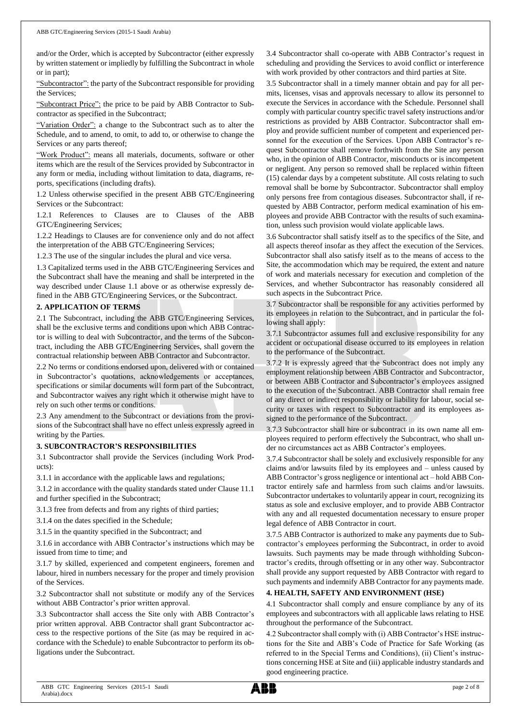and/or the Order, which is accepted by Subcontractor (either expressly by written statement or impliedly by fulfilling the Subcontract in whole or in part);

"Subcontractor": the party of the Subcontract responsible for providing the Services;

"Subcontract Price": the price to be paid by ABB Contractor to Subcontractor as specified in the Subcontract;

"Variation Order": a change to the Subcontract such as to alter the Schedule, and to amend, to omit, to add to, or otherwise to change the Services or any parts thereof;

"Work Product": means all materials, documents, software or other items which are the result of the Services provided by Subcontractor in any form or media, including without limitation to data, diagrams, reports, specifications (including drafts).

1.2 Unless otherwise specified in the present ABB GTC/Engineering Services or the Subcontract:

1.2.1 References to Clauses are to Clauses of the ABB GTC/Engineering Services;

1.2.2 Headings to Clauses are for convenience only and do not affect the interpretation of the ABB GTC/Engineering Services;

1.2.3 The use of the singular includes the plural and vice versa.

1.3 Capitalized terms used in the ABB GTC/Engineering Services and the Subcontract shall have the meaning and shall be interpreted in the way described under Clause 1.1 above or as otherwise expressly defined in the ABB GTC/Engineering Services, or the Subcontract.

#### **2. APPLICATION OF TERMS**

2.1 The Subcontract, including the ABB GTC/Engineering Services, shall be the exclusive terms and conditions upon which ABB Contractor is willing to deal with Subcontractor, and the terms of the Subcontract, including the ABB GTC/Engineering Services, shall govern the contractual relationship between ABB Contractor and Subcontractor.

2.2 No terms or conditions endorsed upon, delivered with or contained in Subcontractor's quotations, acknowledgements or acceptances, specifications or similar documents will form part of the Subcontract, and Subcontractor waives any right which it otherwise might have to rely on such other terms or conditions.

2.3 Any amendment to the Subcontract or deviations from the provisions of the Subcontract shall have no effect unless expressly agreed in writing by the Parties.

#### **3. SUBCONTRACTOR'S RESPONSIBILITIES**

3.1 Subcontractor shall provide the Services (including Work Products):

3.1.1 in accordance with the applicable laws and regulations;

3.1.2 in accordance with the quality standards stated under Clause 11.1 and further specified in the Subcontract;

3.1.3 free from defects and from any rights of third parties;

3.1.4 on the dates specified in the Schedule;

3.1.5 in the quantity specified in the Subcontract; and

3.1.6 in accordance with ABB Contractor's instructions which may be issued from time to time; and

3.1.7 by skilled, experienced and competent engineers, foremen and labour, hired in numbers necessary for the proper and timely provision of the Services.

3.2 Subcontractor shall not substitute or modify any of the Services without ABB Contractor's prior written approval.

3.3 Subcontractor shall access the Site only with ABB Contractor's prior written approval. ABB Contractor shall grant Subcontractor access to the respective portions of the Site (as may be required in accordance with the Schedule) to enable Subcontractor to perform its obligations under the Subcontract.

3.4 Subcontractor shall co-operate with ABB Contractor's request in scheduling and providing the Services to avoid conflict or interference with work provided by other contractors and third parties at Site.

3.5 Subcontractor shall in a timely manner obtain and pay for all permits, licenses, visas and approvals necessary to allow its personnel to execute the Services in accordance with the Schedule. Personnel shall comply with particular country specific travel safety instructions and/or restrictions as provided by ABB Contractor. Subcontractor shall employ and provide sufficient number of competent and experienced personnel for the execution of the Services. Upon ABB Contractor's request Subcontractor shall remove forthwith from the Site any person who, in the opinion of ABB Contractor, misconducts or is incompetent or negligent. Any person so removed shall be replaced within fifteen (15) calendar days by a competent substitute. All costs relating to such removal shall be borne by Subcontractor. Subcontractor shall employ only persons free from contagious diseases. Subcontractor shall, if requested by ABB Contractor, perform medical examination of his employees and provide ABB Contractor with the results of such examination, unless such provision would violate applicable laws.

3.6 Subcontractor shall satisfy itself as to the specifics of the Site, and all aspects thereof insofar as they affect the execution of the Services. Subcontractor shall also satisfy itself as to the means of access to the Site, the accommodation which may be required, the extent and nature of work and materials necessary for execution and completion of the Services, and whether Subcontractor has reasonably considered all such aspects in the Subcontract Price.

3.7 Subcontractor shall be responsible for any activities performed by its employees in relation to the Subcontract, and in particular the following shall apply:

3.7.1 Subcontractor assumes full and exclusive responsibility for any accident or occupational disease occurred to its employees in relation to the performance of the Subcontract.

3.7.2 It is expressly agreed that the Subcontract does not imply any employment relationship between ABB Contractor and Subcontractor, or between ABB Contractor and Subcontractor's employees assigned to the execution of the Subcontract. ABB Contractor shall remain free of any direct or indirect responsibility or liability for labour, social security or taxes with respect to Subcontractor and its employees assigned to the performance of the Subcontract.

3.7.3 Subcontractor shall hire or subcontract in its own name all employees required to perform effectively the Subcontract, who shall under no circumstances act as ABB Contractor's employees.

3.7.4 Subcontractor shall be solely and exclusively responsible for any claims and/or lawsuits filed by its employees and – unless caused by ABB Contractor's gross negligence or intentional act – hold ABB Contractor entirely safe and harmless from such claims and/or lawsuits. Subcontractor undertakes to voluntarily appear in court, recognizing its status as sole and exclusive employer, and to provide ABB Contractor with any and all requested documentation necessary to ensure proper legal defence of ABB Contractor in court.

3.7.5 ABB Contractor is authorized to make any payments due to Subcontractor's employees performing the Subcontract, in order to avoid lawsuits. Such payments may be made through withholding Subcontractor's credits, through offsetting or in any other way. Subcontractor shall provide any support requested by ABB Contractor with regard to such payments and indemnify ABB Contractor for any payments made.

#### **4. HEALTH, SAFETY AND ENVIRONMENT (HSE)**

4.1 Subcontractor shall comply and ensure compliance by any of its employees and subcontractors with all applicable laws relating to HSE throughout the performance of the Subcontract.

4.2 Subcontractor shall comply with (i) ABB Contractor's HSE instructions for the Site and ABB's Code of Practice for Safe Working (as referred to in the Special Terms and Conditions), (ii) Client's instructions concerning HSE at Site and (iii) applicable industry standards and good engineering practice.

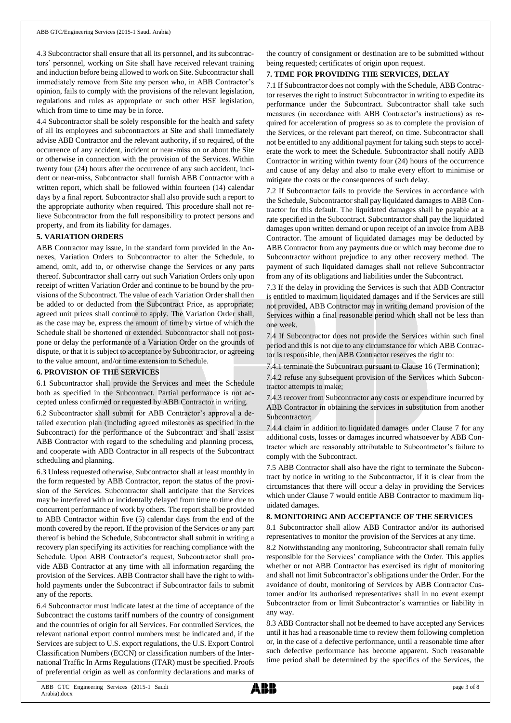4.3 Subcontractor shall ensure that all its personnel, and its subcontractors' personnel, working on Site shall have received relevant training and induction before being allowed to work on Site. Subcontractor shall immediately remove from Site any person who, in ABB Contractor's opinion, fails to comply with the provisions of the relevant legislation, regulations and rules as appropriate or such other HSE legislation, which from time to time may be in force.

4.4 Subcontractor shall be solely responsible for the health and safety of all its employees and subcontractors at Site and shall immediately advise ABB Contractor and the relevant authority, if so required, of the occurrence of any accident, incident or near-miss on or about the Site or otherwise in connection with the provision of the Services. Within twenty four (24) hours after the occurrence of any such accident, incident or near-miss, Subcontractor shall furnish ABB Contractor with a written report, which shall be followed within fourteen (14) calendar days by a final report. Subcontractor shall also provide such a report to the appropriate authority when required. This procedure shall not relieve Subcontractor from the full responsibility to protect persons and property, and from its liability for damages.

#### **5. VARIATION ORDERS**

ABB Contractor may issue, in the standard form provided in the Annexes, Variation Orders to Subcontractor to alter the Schedule, to amend, omit, add to, or otherwise change the Services or any parts thereof. Subcontractor shall carry out such Variation Orders only upon receipt of written Variation Order and continue to be bound by the provisions of the Subcontract. The value of each Variation Order shall then be added to or deducted from the Subcontract Price, as appropriate; agreed unit prices shall continue to apply. The Variation Order shall, as the case may be, express the amount of time by virtue of which the Schedule shall be shortened or extended. Subcontractor shall not postpone or delay the performance of a Variation Order on the grounds of dispute, or that it is subject to acceptance by Subcontractor, or agreeing to the value amount, and/or time extension to Schedule.

## **6. PROVISION OF THE SERVICES**

6.1 Subcontractor shall provide the Services and meet the Schedule both as specified in the Subcontract. Partial performance is not accepted unless confirmed or requested by ABB Contractor in writing.

6.2 Subcontractor shall submit for ABB Contractor's approval a detailed execution plan (including agreed milestones as specified in the Subcontract) for the performance of the Subcontract and shall assist ABB Contractor with regard to the scheduling and planning process, and cooperate with ABB Contractor in all respects of the Subcontract scheduling and planning.

6.3 Unless requested otherwise, Subcontractor shall at least monthly in the form requested by ABB Contractor, report the status of the provision of the Services. Subcontractor shall anticipate that the Services may be interfered with or incidentally delayed from time to time due to concurrent performance of work by others. The report shall be provided to ABB Contractor within five (5) calendar days from the end of the month covered by the report. If the provision of the Services or any part thereof is behind the Schedule, Subcontractor shall submit in writing a recovery plan specifying its activities for reaching compliance with the Schedule. Upon ABB Contractor's request, Subcontractor shall provide ABB Contractor at any time with all information regarding the provision of the Services. ABB Contractor shall have the right to withhold payments under the Subcontract if Subcontractor fails to submit any of the reports.

6.4 Subcontractor must indicate latest at the time of acceptance of the Subcontract the customs tariff numbers of the country of consignment and the countries of origin for all Services. For controlled Services, the relevant national export control numbers must be indicated and, if the Services are subject to U.S. export regulations, the U.S. Export Control Classification Numbers (ECCN) or classification numbers of the International Traffic In Arms Regulations (ITAR) must be specified. Proofs of preferential origin as well as conformity declarations and marks of the country of consignment or destination are to be submitted without being requested; certificates of origin upon request.

#### **7. TIME FOR PROVIDING THE SERVICES, DELAY**

7.1 If Subcontractor does not comply with the Schedule, ABB Contractor reserves the right to instruct Subcontractor in writing to expedite its performance under the Subcontract. Subcontractor shall take such measures (in accordance with ABB Contractor's instructions) as required for acceleration of progress so as to complete the provision of the Services, or the relevant part thereof, on time. Subcontractor shall not be entitled to any additional payment for taking such steps to accelerate the work to meet the Schedule. Subcontractor shall notify ABB Contractor in writing within twenty four (24) hours of the occurrence and cause of any delay and also to make every effort to minimise or mitigate the costs or the consequences of such delay.

7.2 If Subcontractor fails to provide the Services in accordance with the Schedule, Subcontractor shall pay liquidated damages to ABB Contractor for this default. The liquidated damages shall be payable at a rate specified in the Subcontract. Subcontractor shall pay the liquidated damages upon written demand or upon receipt of an invoice from ABB Contractor. The amount of liquidated damages may be deducted by ABB Contractor from any payments due or which may become due to Subcontractor without prejudice to any other recovery method. The payment of such liquidated damages shall not relieve Subcontractor from any of its obligations and liabilities under the Subcontract.

7.3 If the delay in providing the Services is such that ABB Contractor is entitled to maximum liquidated damages and if the Services are still not provided, ABB Contractor may in writing demand provision of the Services within a final reasonable period which shall not be less than one week.

7.4 If Subcontractor does not provide the Services within such final period and this is not due to any circumstance for which ABB Contractor is responsible, then ABB Contractor reserves the right to:

7.4.1 terminate the Subcontract pursuant to Clause 16 (Termination);

7.4.2 refuse any subsequent provision of the Services which Subcontractor attempts to make;

7.4.3 recover from Subcontractor any costs or expenditure incurred by ABB Contractor in obtaining the services in substitution from another Subcontractor;

7.4.4 claim in addition to liquidated damages under Clause 7 for any additional costs, losses or damages incurred whatsoever by ABB Contractor which are reasonably attributable to Subcontractor's failure to comply with the Subcontract.

7.5 ABB Contractor shall also have the right to terminate the Subcontract by notice in writing to the Subcontractor, if it is clear from the circumstances that there will occur a delay in providing the Services which under Clause 7 would entitle ABB Contractor to maximum liquidated damages.

#### **8. MONITORING AND ACCEPTANCE OF THE SERVICES**

8.1 Subcontractor shall allow ABB Contractor and/or its authorised representatives to monitor the provision of the Services at any time.

8.2 Notwithstanding any monitoring, Subcontractor shall remain fully responsible for the Services' compliance with the Order. This applies whether or not ABB Contractor has exercised its right of monitoring and shall not limit Subcontractor's obligations under the Order. For the avoidance of doubt, monitoring of Services by ABB Contractor Customer and/or its authorised representatives shall in no event exempt Subcontractor from or limit Subcontractor's warranties or liability in any way.

8.3 ABB Contractor shall not be deemed to have accepted any Services until it has had a reasonable time to review them following completion or, in the case of a defective performance, until a reasonable time after such defective performance has become apparent. Such reasonable time period shall be determined by the specifics of the Services, the

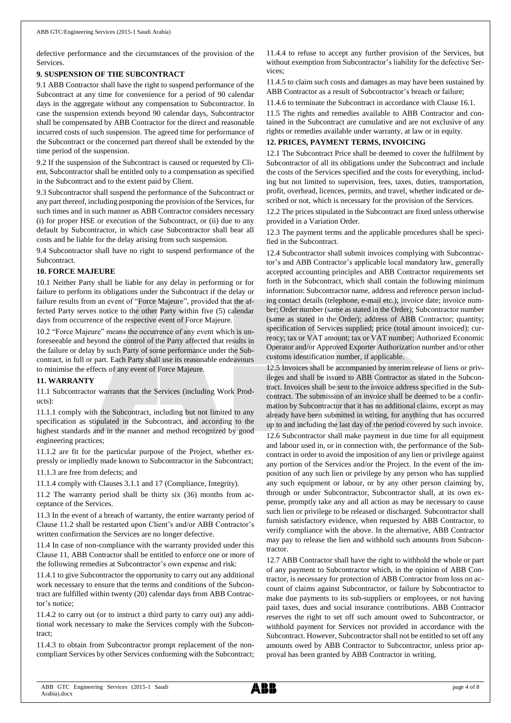defective performance and the circumstances of the provision of the Services.

#### **9. SUSPENSION OF THE SUBCONTRACT**

9.1 ABB Contractor shall have the right to suspend performance of the Subcontract at any time for convenience for a period of 90 calendar days in the aggregate without any compensation to Subcontractor. In case the suspension extends beyond 90 calendar days, Subcontractor shall be compensated by ABB Contractor for the direct and reasonable incurred costs of such suspension. The agreed time for performance of the Subcontract or the concerned part thereof shall be extended by the time period of the suspension.

9.2 If the suspension of the Subcontract is caused or requested by Client, Subcontractor shall be entitled only to a compensation as specified in the Subcontract and to the extent paid by Client.

9.3 Subcontractor shall suspend the performance of the Subcontract or any part thereof, including postponing the provision of the Services, for such times and in such manner as ABB Contractor considers necessary (i) for proper HSE or execution of the Subcontract, or (ii) due to any default by Subcontractor, in which case Subcontractor shall bear all costs and be liable for the delay arising from such suspension.

9.4 Subcontractor shall have no right to suspend performance of the Subcontract.

#### **10. FORCE MAJEURE**

10.1 Neither Party shall be liable for any delay in performing or for failure to perform its obligations under the Subcontract if the delay or failure results from an event of "Force Majeure", provided that the affected Party serves notice to the other Party within five (5) calendar days from occurrence of the respective event of Force Majeure.

10.2 "Force Majeure" means the occurrence of any event which is unforeseeable and beyond the control of the Party affected that results in the failure or delay by such Party of some performance under the Subcontract, in full or part. Each Party shall use its reasonable endeavours to minimise the effects of any event of Force Majeure.

#### **11. WARRANTY**

11.1 Subcontractor warrants that the Services (including Work Products):

11.1.1 comply with the Subcontract, including but not limited to any specification as stipulated in the Subcontract, and according to the highest standards and in the manner and method recognized by good engineering practices;

11.1.2 are fit for the particular purpose of the Project, whether expressly or impliedly made known to Subcontractor in the Subcontract;

11.1.3 are free from defects; and

11.1.4 comply with Clauses 3.1.1 and 17 (Compliance, Integrity).

11.2 The warranty period shall be thirty six (36) months from acceptance of the Services.

11.3 In the event of a breach of warranty, the entire warranty period of Clause 11.2 shall be restarted upon Client's and/or ABB Contractor's written confirmation the Services are no longer defective.

11.4 In case of non-compliance with the warranty provided under this Clause 11, ABB Contractor shall be entitled to enforce one or more of the following remedies at Subcontractor's own expense and risk:

11.4.1 to give Subcontractor the opportunity to carry out any additional work necessary to ensure that the terms and conditions of the Subcontract are fulfilled within twenty (20) calendar days from ABB Contractor's notice;

11.4.2 to carry out (or to instruct a third party to carry out) any additional work necessary to make the Services comply with the Subcontract;

11.4.3 to obtain from Subcontractor prompt replacement of the noncompliant Services by other Services conforming with the Subcontract; 11.4.4 to refuse to accept any further provision of the Services, but without exemption from Subcontractor's liability for the defective Services;

11.4.5 to claim such costs and damages as may have been sustained by ABB Contractor as a result of Subcontractor's breach or failure;

11.4.6 to terminate the Subcontract in accordance with Clause 16.1.

11.5 The rights and remedies available to ABB Contractor and contained in the Subcontract are cumulative and are not exclusive of any rights or remedies available under warranty, at law or in equity.

#### **12. PRICES, PAYMENT TERMS, INVOICING**

12.1 The Subcontract Price shall be deemed to cover the fulfilment by Subcontractor of all its obligations under the Subcontract and include the costs of the Services specified and the costs for everything, including but not limited to supervision, fees, taxes, duties, transportation, profit, overhead, licences, permits, and travel, whether indicated or described or not, which is necessary for the provision of the Services.

12.2 The prices stipulated in the Subcontract are fixed unless otherwise provided in a Variation Order.

12.3 The payment terms and the applicable procedures shall be specified in the Subcontract.

12.4 Subcontractor shall submit invoices complying with Subcontractor's and ABB Contractor's applicable local mandatory law, generally accepted accounting principles and ABB Contractor requirements set forth in the Subcontract, which shall contain the following minimum information: Subcontractor name, address and reference person including contact details (telephone, e-mail etc.); invoice date; invoice number; Order number (same as stated in the Order); Subcontractor number (same as stated in the Order); address of ABB Contractor; quantity; specification of Services supplied; price (total amount invoiced); currency; tax or VAT amount; tax or VAT number; Authorized Economic Operator and/or Approved Exporter Authorization number and/or other customs identification number, if applicable.

12.5 Invoices shall be accompanied by interim release of liens or privileges and shall be issued to ABB Contractor as stated in the Subcontract. Invoices shall be sent to the invoice address specified in the Subcontract. The submission of an invoice shall be deemed to be a confirmation by Subcontractor that it has no additional claims, except as may already have been submitted in writing, for anything that has occurred up to and including the last day of the period covered by such invoice. 12.6 Subcontractor shall make payment in due time for all equipment

and labour used in, or in connection with, the performance of the Subcontract in order to avoid the imposition of any lien or privilege against any portion of the Services and/or the Project. In the event of the imposition of any such lien or privilege by any person who has supplied any such equipment or labour, or by any other person claiming by, through or under Subcontractor, Subcontractor shall, at its own expense, promptly take any and all action as may be necessary to cause such lien or privilege to be released or discharged. Subcontractor shall furnish satisfactory evidence, when requested by ABB Contractor, to verify compliance with the above. In the alternative, ABB Contractor may pay to release the lien and withhold such amounts from Subcontractor.

12.7 ABB Contractor shall have the right to withhold the whole or part of any payment to Subcontractor which, in the opinion of ABB Contractor, is necessary for protection of ABB Contractor from loss on account of claims against Subcontractor, or failure by Subcontractor to make due payments to its sub-suppliers or employees, or not having paid taxes, dues and social insurance contributions. ABB Contractor reserves the right to set off such amount owed to Subcontractor, or withhold payment for Services not provided in accordance with the Subcontract. However, Subcontractor shall not be entitled to set off any amounts owed by ABB Contractor to Subcontractor, unless prior approval has been granted by ABB Contractor in writing.

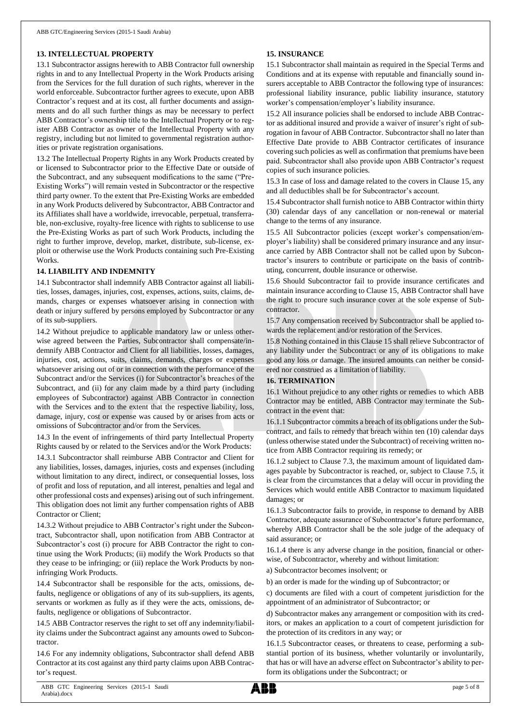#### **13. INTELLECTUAL PROPERTY**

13.1 Subcontractor assigns herewith to ABB Contractor full ownership rights in and to any Intellectual Property in the Work Products arising from the Services for the full duration of such rights, wherever in the world enforceable. Subcontractor further agrees to execute, upon ABB Contractor's request and at its cost, all further documents and assignments and do all such further things as may be necessary to perfect ABB Contractor's ownership title to the Intellectual Property or to register ABB Contractor as owner of the Intellectual Property with any registry, including but not limited to governmental registration authorities or private registration organisations.

13.2 The Intellectual Property Rights in any Work Products created by or licensed to Subcontractor prior to the Effective Date or outside of the Subcontract, and any subsequent modifications to the same ("Pre-Existing Works") will remain vested in Subcontractor or the respective third party owner. To the extent that Pre-Existing Works are embedded in any Work Products delivered by Subcontractor, ABB Contractor and its Affiliates shall have a worldwide, irrevocable, perpetual, transferrable, non-exclusive, royalty-free licence with rights to sublicense to use the Pre-Existing Works as part of such Work Products, including the right to further improve, develop, market, distribute, sub-license, exploit or otherwise use the Work Products containing such Pre-Existing Works.

#### **14. LIABILITY AND INDEMNITY**

14.1 Subcontractor shall indemnify ABB Contractor against all liabilities, losses, damages, injuries, cost, expenses, actions, suits, claims, demands, charges or expenses whatsoever arising in connection with death or injury suffered by persons employed by Subcontractor or any of its sub-suppliers.

14.2 Without prejudice to applicable mandatory law or unless otherwise agreed between the Parties, Subcontractor shall compensate/indemnify ABB Contractor and Client for all liabilities, losses, damages, injuries, cost, actions, suits, claims, demands, charges or expenses whatsoever arising out of or in connection with the performance of the Subcontract and/or the Services (i) for Subcontractor's breaches of the Subcontract, and (ii) for any claim made by a third party (including employees of Subcontractor) against ABB Contractor in connection with the Services and to the extent that the respective liability, loss, damage, injury, cost or expense was caused by or arises from acts or omissions of Subcontractor and/or from the Services.

14.3 In the event of infringements of third party Intellectual Property Rights caused by or related to the Services and/or the Work Products:

14.3.1 Subcontractor shall reimburse ABB Contractor and Client for any liabilities, losses, damages, injuries, costs and expenses (including without limitation to any direct, indirect, or consequential losses, loss of profit and loss of reputation, and all interest, penalties and legal and other professional costs and expenses) arising out of such infringement. This obligation does not limit any further compensation rights of ABB Contractor or Client;

14.3.2 Without prejudice to ABB Contractor's right under the Subcontract, Subcontractor shall, upon notification from ABB Contractor at Subcontractor's cost (i) procure for ABB Contractor the right to continue using the Work Products; (ii) modify the Work Products so that they cease to be infringing; or (iii) replace the Work Products by noninfringing Work Products.

14.4 Subcontractor shall be responsible for the acts, omissions, defaults, negligence or obligations of any of its sub-suppliers, its agents, servants or workmen as fully as if they were the acts, omissions, defaults, negligence or obligations of Subcontractor.

14.5 ABB Contractor reserves the right to set off any indemnity/liability claims under the Subcontract against any amounts owed to Subcontractor.

14.6 For any indemnity obligations, Subcontractor shall defend ABB Contractor at its cost against any third party claims upon ABB Contractor's request.

#### **15. INSURANCE**

15.1 Subcontractor shall maintain as required in the Special Terms and Conditions and at its expense with reputable and financially sound insurers acceptable to ABB Contractor the following type of insurances: professional liability insurance, public liability insurance, statutory worker's compensation/employer's liability insurance.

15.2 All insurance policies shall be endorsed to include ABB Contractor as additional insured and provide a waiver of insurer's right of subrogation in favour of ABB Contractor. Subcontractor shall no later than Effective Date provide to ABB Contractor certificates of insurance covering such policies as well as confirmation that premiums have been paid. Subcontractor shall also provide upon ABB Contractor's request copies of such insurance policies.

15.3 In case of loss and damage related to the covers in Clause 15, any and all deductibles shall be for Subcontractor's account.

15.4 Subcontractor shall furnish notice to ABB Contractor within thirty (30) calendar days of any cancellation or non-renewal or material change to the terms of any insurance.

15.5 All Subcontractor policies (except worker's compensation/employer's liability) shall be considered primary insurance and any insurance carried by ABB Contractor shall not be called upon by Subcontractor's insurers to contribute or participate on the basis of contributing, concurrent, double insurance or otherwise.

15.6 Should Subcontractor fail to provide insurance certificates and maintain insurance according to Clause 15, ABB Contractor shall have the right to procure such insurance cover at the sole expense of Subcontractor.

15.7 Any compensation received by Subcontractor shall be applied towards the replacement and/or restoration of the Services.

15.8 Nothing contained in this Clause 15 shall relieve Subcontractor of any liability under the Subcontract or any of its obligations to make good any loss or damage. The insured amounts can neither be considered nor construed as a limitation of liability.

#### **16. TERMINATION**

16.1 Without prejudice to any other rights or remedies to which ABB Contractor may be entitled, ABB Contractor may terminate the Subcontract in the event that:

16.1.1 Subcontractor commits a breach of its obligations under the Subcontract, and fails to remedy that breach within ten (10) calendar days (unless otherwise stated under the Subcontract) of receiving written notice from ABB Contractor requiring its remedy; or

16.1.2 subject to Clause 7.3, the maximum amount of liquidated damages payable by Subcontractor is reached, or, subject to Clause 7.5, it is clear from the circumstances that a delay will occur in providing the Services which would entitle ABB Contractor to maximum liquidated damages; or

16.1.3 Subcontractor fails to provide, in response to demand by ABB Contractor, adequate assurance of Subcontractor's future performance, whereby ABB Contractor shall be the sole judge of the adequacy of said assurance; or

16.1.4 there is any adverse change in the position, financial or otherwise, of Subcontractor, whereby and without limitation:

a) Subcontractor becomes insolvent; or

b) an order is made for the winding up of Subcontractor; or

c) documents are filed with a court of competent jurisdiction for the appointment of an administrator of Subcontractor; or

d) Subcontractor makes any arrangement or composition with its creditors, or makes an application to a court of competent jurisdiction for the protection of its creditors in any way; or

16.1.5 Subcontractor ceases, or threatens to cease, performing a substantial portion of its business, whether voluntarily or involuntarily, that has or will have an adverse effect on Subcontractor's ability to perform its obligations under the Subcontract; or

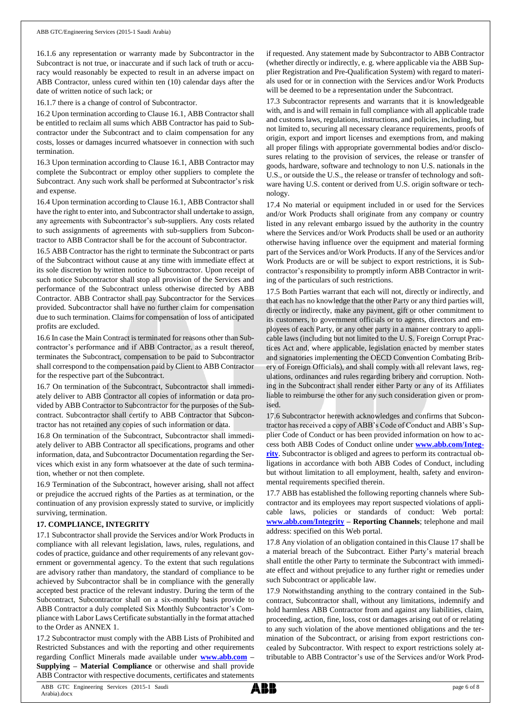16.1.6 any representation or warranty made by Subcontractor in the Subcontract is not true, or inaccurate and if such lack of truth or accuracy would reasonably be expected to result in an adverse impact on ABB Contractor, unless cured within ten (10) calendar days after the date of written notice of such lack; or

16.1.7 there is a change of control of Subcontractor.

16.2 Upon termination according to Clause 16.1, ABB Contractor shall be entitled to reclaim all sums which ABB Contractor has paid to Subcontractor under the Subcontract and to claim compensation for any costs, losses or damages incurred whatsoever in connection with such termination.

16.3 Upon termination according to Clause 16.1, ABB Contractor may complete the Subcontract or employ other suppliers to complete the Subcontract. Any such work shall be performed at Subcontractor's risk and expense.

16.4 Upon termination according to Clause 16.1, ABB Contractor shall have the right to enter into, and Subcontractor shall undertake to assign, any agreements with Subcontractor's sub-suppliers. Any costs related to such assignments of agreements with sub-suppliers from Subcontractor to ABB Contractor shall be for the account of Subcontractor.

16.5 ABB Contractor has the right to terminate the Subcontract or parts of the Subcontract without cause at any time with immediate effect at its sole discretion by written notice to Subcontractor. Upon receipt of such notice Subcontractor shall stop all provision of the Services and performance of the Subcontract unless otherwise directed by ABB Contractor. ABB Contractor shall pay Subcontractor for the Services provided. Subcontractor shall have no further claim for compensation due to such termination. Claims for compensation of loss of anticipated profits are excluded.

16.6 In case the Main Contract is terminated for reasons other than Subcontractor's performance and if ABB Contractor, as a result thereof, terminates the Subcontract, compensation to be paid to Subcontractor shall correspond to the compensation paid by Client to ABB Contractor for the respective part of the Subcontract.

16.7 On termination of the Subcontract, Subcontractor shall immediately deliver to ABB Contractor all copies of information or data provided by ABB Contractor to Subcontractor for the purposes of the Subcontract. Subcontractor shall certify to ABB Contractor that Subcontractor has not retained any copies of such information or data.

16.8 On termination of the Subcontract, Subcontractor shall immediately deliver to ABB Contractor all specifications, programs and other information, data, and Subcontractor Documentation regarding the Services which exist in any form whatsoever at the date of such termination, whether or not then complete.

16.9 Termination of the Subcontract, however arising, shall not affect or prejudice the accrued rights of the Parties as at termination, or the continuation of any provision expressly stated to survive, or implicitly surviving, termination.

#### **17. COMPLIANCE, INTEGRITY**

17.1 Subcontractor shall provide the Services and/or Work Products in compliance with all relevant legislation, laws, rules, regulations, and codes of practice, guidance and other requirements of any relevant government or governmental agency. To the extent that such regulations are advisory rather than mandatory, the standard of compliance to be achieved by Subcontractor shall be in compliance with the generally accepted best practice of the relevant industry. During the term of the Subcontract, Subcontractor shall on a six-monthly basis provide to ABB Contractor a duly completed Six Monthly Subcontractor's Compliance with Labor Laws Certificate substantially in the format attached to the Order as ANNEX 1.

17.2 Subcontractor must comply with the ABB Lists of Prohibited and Restricted Substances and with the reporting and other requirements regarding Conflict Minerals made available under **[www.abb.com](http://www.abb.com/) – Supplying – Material Compliance** or otherwise and shall provide ABB Contractor with respective documents, certificates and statements

if requested. Any statement made by Subcontractor to ABB Contractor (whether directly or indirectly, e. g. where applicable via the ABB Supplier Registration and Pre-Qualification System) with regard to materials used for or in connection with the Services and/or Work Products will be deemed to be a representation under the Subcontract.

17.3 Subcontractor represents and warrants that it is knowledgeable with, and is and will remain in full compliance with all applicable trade and customs laws, regulations, instructions, and policies, including, but not limited to, securing all necessary clearance requirements, proofs of origin, export and import licenses and exemptions from, and making all proper filings with appropriate governmental bodies and/or disclosures relating to the provision of services, the release or transfer of goods, hardware, software and technology to non U.S. nationals in the U.S., or outside the U.S., the release or transfer of technology and software having U.S. content or derived from U.S. origin software or technology.

17.4 No material or equipment included in or used for the Services and/or Work Products shall originate from any company or country listed in any relevant embargo issued by the authority in the country where the Services and/or Work Products shall be used or an authority otherwise having influence over the equipment and material forming part of the Services and/or Work Products. If any of the Services and/or Work Products are or will be subject to export restrictions, it is Subcontractor's responsibility to promptly inform ABB Contractor in writing of the particulars of such restrictions.

17.5 Both Parties warrant that each will not, directly or indirectly, and that each has no knowledge that the other Party or any third parties will, directly or indirectly, make any payment, gift or other commitment to its customers, to government officials or to agents, directors and employees of each Party, or any other party in a manner contrary to applicable laws (including but not limited to the U. S. Foreign Corrupt Practices Act and, where applicable, legislation enacted by member states and signatories implementing the OECD Convention Combating Bribery of Foreign Officials), and shall comply with all relevant laws, regulations, ordinances and rules regarding bribery and corruption. Nothing in the Subcontract shall render either Party or any of its Affiliates liable to reimburse the other for any such consideration given or promised.

17.6 Subcontractor herewith acknowledges and confirms that Subcontractor has received a copy of ABB's Code of Conduct and ABB's Supplier Code of Conduct or has been provided information on how to access both ABB Codes of Conduct online under **[www.abb.com/Integ](http://www.abb.com/Integrity)[rity](http://www.abb.com/Integrity)**. Subcontractor is obliged and agrees to perform its contractual obligations in accordance with both ABB Codes of Conduct, including but without limitation to all employment, health, safety and environmental requirements specified therein.

17.7 ABB has established the following reporting channels where Subcontractor and its employees may report suspected violations of applicable laws, policies or standards of conduct: Web portal: **[www.abb.com/Integrity](http://www.abb.com/Integrity) – Reporting Channels**; telephone and mail address: specified on this Web portal.

17.8 Any violation of an obligation contained in this Clause 17 shall be a material breach of the Subcontract. Either Party's material breach shall entitle the other Party to terminate the Subcontract with immediate effect and without prejudice to any further right or remedies under such Subcontract or applicable law.

17.9 Notwithstanding anything to the contrary contained in the Subcontract, Subcontractor shall, without any limitations, indemnify and hold harmless ABB Contractor from and against any liabilities, claim, proceeding, action, fine, loss, cost or damages arising out of or relating to any such violation of the above mentioned obligations and the termination of the Subcontract, or arising from export restrictions concealed by Subcontractor. With respect to export restrictions solely attributable to ABB Contractor's use of the Services and/or Work Prod-

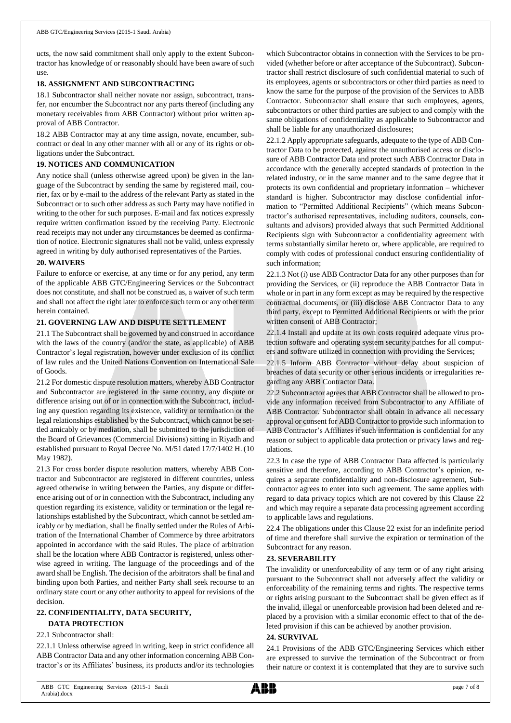ucts, the now said commitment shall only apply to the extent Subcontractor has knowledge of or reasonably should have been aware of such use.

#### **18. ASSIGNMENT AND SUBCONTRACTING**

18.1 Subcontractor shall neither novate nor assign, subcontract, transfer, nor encumber the Subcontract nor any parts thereof (including any monetary receivables from ABB Contractor) without prior written approval of ABB Contractor.

18.2 ABB Contractor may at any time assign, novate, encumber, subcontract or deal in any other manner with all or any of its rights or obligations under the Subcontract.

### **19. NOTICES AND COMMUNICATION**

Any notice shall (unless otherwise agreed upon) be given in the language of the Subcontract by sending the same by registered mail, courier, fax or by e-mail to the address of the relevant Party as stated in the Subcontract or to such other address as such Party may have notified in writing to the other for such purposes. E-mail and fax notices expressly require written confirmation issued by the receiving Party. Electronic read receipts may not under any circumstances be deemed as confirmation of notice. Electronic signatures shall not be valid, unless expressly agreed in writing by duly authorised representatives of the Parties.

#### **20. WAIVERS**

Failure to enforce or exercise, at any time or for any period, any term of the applicable ABB GTC/Engineering Services or the Subcontract does not constitute, and shall not be construed as, a waiver of such term and shall not affect the right later to enforce such term or any other term herein contained.

### **21. GOVERNING LAW AND DISPUTE SETTLEMENT**

21.1 The Subcontract shall be governed by and construed in accordance with the laws of the country (and/or the state, as applicable) of ABB Contractor's legal registration, however under exclusion of its conflict of law rules and the United Nations Convention on International Sale of Goods.

21.2 For domestic dispute resolution matters, whereby ABB Contractor and Subcontractor are registered in the same country, any dispute or difference arising out of or in connection with the Subcontract, including any question regarding its existence, validity or termination or the legal relationships established by the Subcontract, which cannot be settled amicably or by mediation, shall be submitted to the jurisdiction of the Board of Grievances (Commercial Divisions) sitting in Riyadh and established pursuant to Royal Decree No. M/51 dated 17/7/1402 H. (10 May 1982).

21.3 For cross border dispute resolution matters, whereby ABB Contractor and Subcontractor are registered in different countries, unless agreed otherwise in writing between the Parties, any dispute or difference arising out of or in connection with the Subcontract, including any question regarding its existence, validity or termination or the legal relationships established by the Subcontract, which cannot be settled amicably or by mediation, shall be finally settled under the Rules of Arbitration of the International Chamber of Commerce by three arbitrators appointed in accordance with the said Rules. The place of arbitration shall be the location where ABB Contractor is registered, unless otherwise agreed in writing. The language of the proceedings and of the award shall be English. The decision of the arbitrators shall be final and binding upon both Parties, and neither Party shall seek recourse to an ordinary state court or any other authority to appeal for revisions of the decision.

# **22. CONFIDENTIALITY, DATA SECURITY, DATA PROTECTION**

### 22.1 Subcontractor shall:

22.1.1 Unless otherwise agreed in writing, keep in strict confidence all ABB Contractor Data and any other information concerning ABB Contractor's or its Affiliates' business, its products and/or its technologies

which Subcontractor obtains in connection with the Services to be provided (whether before or after acceptance of the Subcontract). Subcontractor shall restrict disclosure of such confidential material to such of its employees, agents or subcontractors or other third parties as need to know the same for the purpose of the provision of the Services to ABB Contractor. Subcontractor shall ensure that such employees, agents, subcontractors or other third parties are subject to and comply with the same obligations of confidentiality as applicable to Subcontractor and shall be liable for any unauthorized disclosures;

22.1.2 Apply appropriate safeguards, adequate to the type of ABB Contractor Data to be protected, against the unauthorised access or disclosure of ABB Contractor Data and protect such ABB Contractor Data in accordance with the generally accepted standards of protection in the related industry, or in the same manner and to the same degree that it protects its own confidential and proprietary information – whichever standard is higher. Subcontractor may disclose confidential information to "Permitted Additional Recipients" (which means Subcontractor's authorised representatives, including auditors, counsels, consultants and advisors) provided always that such Permitted Additional Recipients sign with Subcontractor a confidentiality agreement with terms substantially similar hereto or, where applicable, are required to comply with codes of professional conduct ensuring confidentiality of such information;

22.1.3 Not (i) use ABB Contractor Data for any other purposes than for providing the Services, or (ii) reproduce the ABB Contractor Data in whole or in part in any form except as may be required by the respective contractual documents, or (iii) disclose ABB Contractor Data to any third party, except to Permitted Additional Recipients or with the prior written consent of ABB Contractor;

22.1.4 Install and update at its own costs required adequate virus protection software and operating system security patches for all computers and software utilized in connection with providing the Services;

22.1.5 Inform ABB Contractor without delay about suspicion of breaches of data security or other serious incidents or irregularities regarding any ABB Contractor Data.

22.2 Subcontractor agrees that ABB Contractor shall be allowed to provide any information received from Subcontractor to any Affiliate of ABB Contractor. Subcontractor shall obtain in advance all necessary approval or consent for ABB Contractor to provide such information to ABB Contractor's Affiliates if such information is confidential for any reason or subject to applicable data protection or privacy laws and regulations.

22.3 In case the type of ABB Contractor Data affected is particularly sensitive and therefore, according to ABB Contractor's opinion, requires a separate confidentiality and non-disclosure agreement, Subcontractor agrees to enter into such agreement. The same applies with regard to data privacy topics which are not covered by this Clause 22 and which may require a separate data processing agreement according to applicable laws and regulations.

22.4 The obligations under this Clause 22 exist for an indefinite period of time and therefore shall survive the expiration or termination of the Subcontract for any reason.

## **23. SEVERABILITY**

The invalidity or unenforceability of any term or of any right arising pursuant to the Subcontract shall not adversely affect the validity or enforceability of the remaining terms and rights. The respective terms or rights arising pursuant to the Subcontract shall be given effect as if the invalid, illegal or unenforceable provision had been deleted and replaced by a provision with a similar economic effect to that of the deleted provision if this can be achieved by another provision.

#### **24. SURVIVAL**

24.1 Provisions of the ABB GTC/Engineering Services which either are expressed to survive the termination of the Subcontract or from their nature or context it is contemplated that they are to survive such